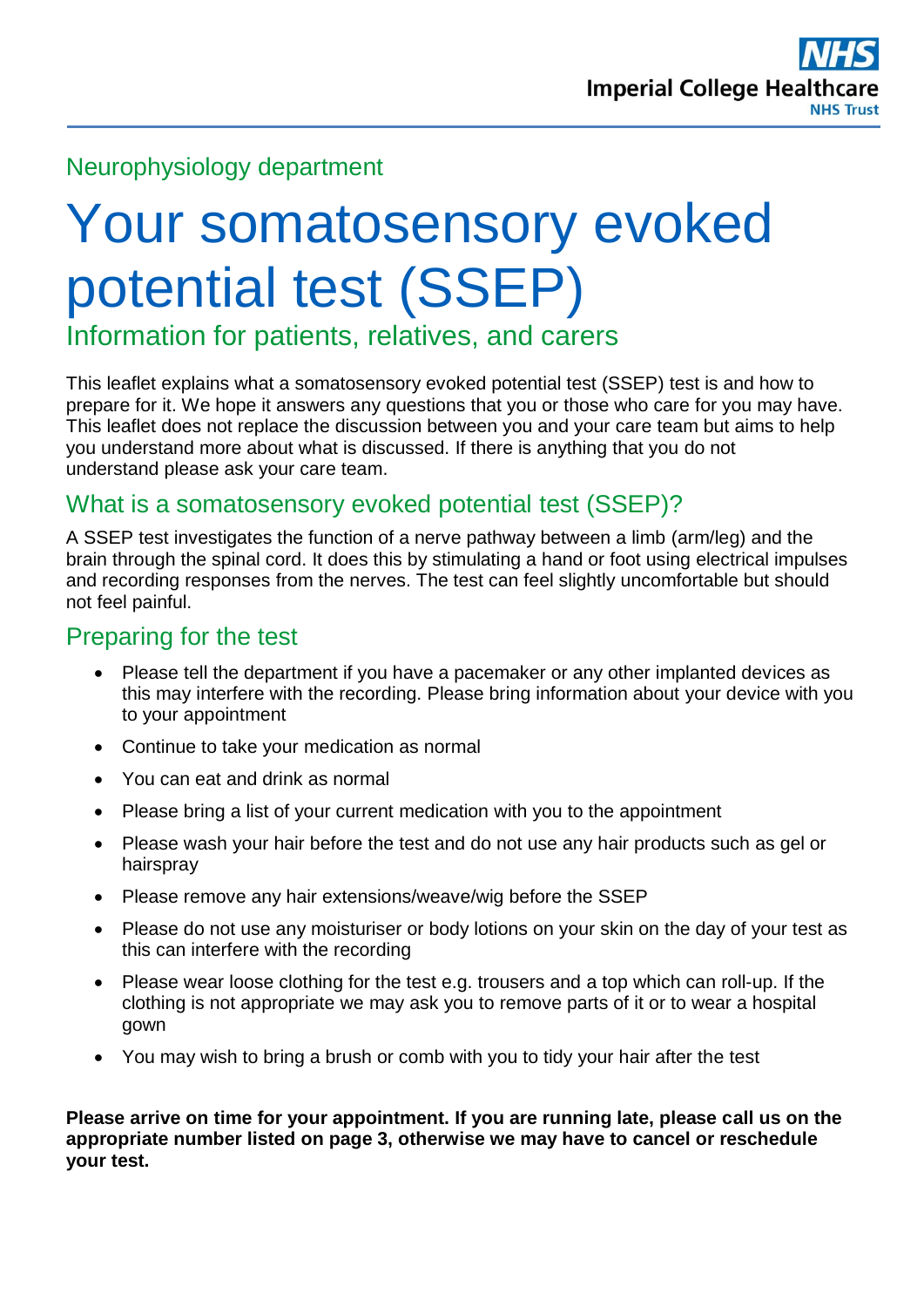# Neurophysiology department

# Your somatosensory evoked potential test (SSEP)

Information for patients, relatives, and carers

This leaflet explains what a somatosensory evoked potential test (SSEP) test is and how to prepare for it. We hope it answers any questions that you or those who care for you may have. This leaflet does not replace the discussion between you and your care team but aims to help you understand more about what is discussed. If there is anything that you do not understand please ask your care team.

## What is a somatosensory evoked potential test (SSEP)?

A SSEP test investigates the function of a nerve pathway between a limb (arm/leg) and the brain through the spinal cord. It does this by stimulating a hand or foot using electrical impulses and recording responses from the nerves. The test can feel slightly uncomfortable but should not feel painful.

## Preparing for the test

- Please tell the department if you have a pacemaker or any other implanted devices as this may interfere with the recording. Please bring information about your device with you to your appointment
- Continue to take your medication as normal
- You can eat and drink as normal
- Please bring a list of your current medication with you to the appointment
- Please wash your hair before the test and do not use any hair products such as gel or hairspray
- Please remove any hair extensions/weave/wig before the SSEP
- Please do not use any moisturiser or body lotions on your skin on the day of your test as this can interfere with the recording
- Please wear loose clothing for the test e.g. trousers and a top which can roll-up. If the clothing is not appropriate we may ask you to remove parts of it or to wear a hospital gown
- You may wish to bring a brush or comb with you to tidy your hair after the test

**Please arrive on time for your appointment. If you are running late, please call us on the appropriate number listed on page 3, otherwise we may have to cancel or reschedule your test.**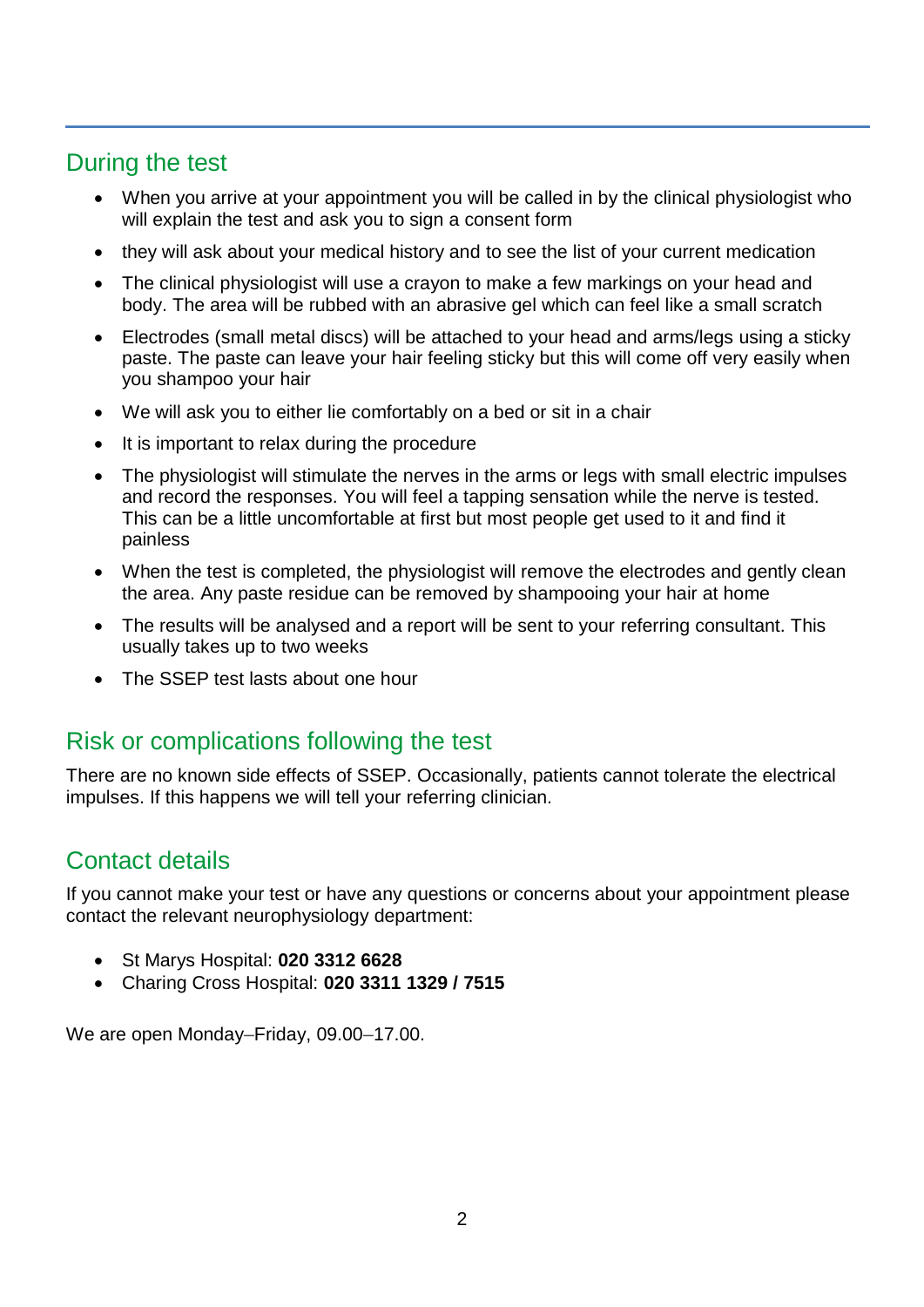## During the test

- When you arrive at your appointment you will be called in by the clinical physiologist who will explain the test and ask you to sign a consent form
- they will ask about your medical history and to see the list of your current medication
- The clinical physiologist will use a crayon to make a few markings on your head and body. The area will be rubbed with an abrasive gel which can feel like a small scratch
- Electrodes (small metal discs) will be attached to your head and arms/legs using a sticky paste. The paste can leave your hair feeling sticky but this will come off very easily when you shampoo your hair
- We will ask you to either lie comfortably on a bed or sit in a chair
- It is important to relax during the procedure
- The physiologist will stimulate the nerves in the arms or legs with small electric impulses and record the responses. You will feel a tapping sensation while the nerve is tested. This can be a little uncomfortable at first but most people get used to it and find it painless
- When the test is completed, the physiologist will remove the electrodes and gently clean the area. Any paste residue can be removed by shampooing your hair at home
- The results will be analysed and a report will be sent to your referring consultant. This usually takes up to two weeks
- The SSEP test lasts about one hour

#### Risk or complications following the test

There are no known side effects of SSEP. Occasionally, patients cannot tolerate the electrical impulses. If this happens we will tell your referring clinician.

#### Contact details

If you cannot make your test or have any questions or concerns about your appointment please contact the relevant neurophysiology department:

- St Marys Hospital: **020 3312 6628**
- Charing Cross Hospital: **020 3311 1329 / 7515**

We are open Monday–Friday, 09.00–17.00.